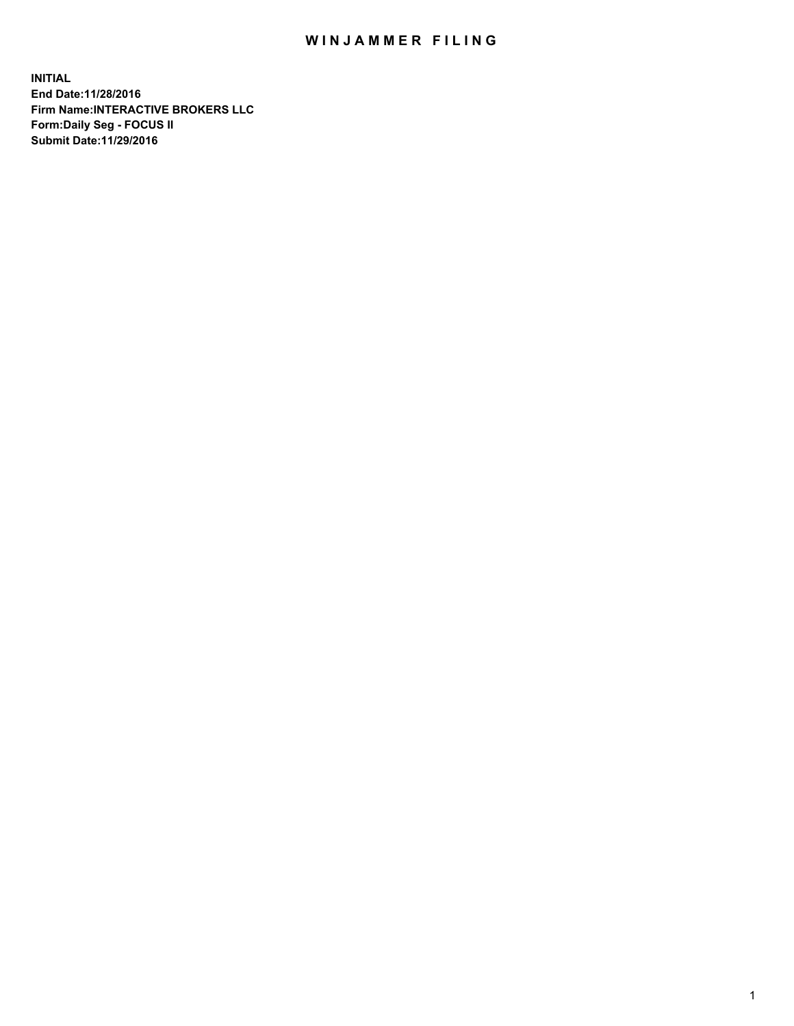## WIN JAMMER FILING

**INITIAL End Date:11/28/2016 Firm Name:INTERACTIVE BROKERS LLC Form:Daily Seg - FOCUS II Submit Date:11/29/2016**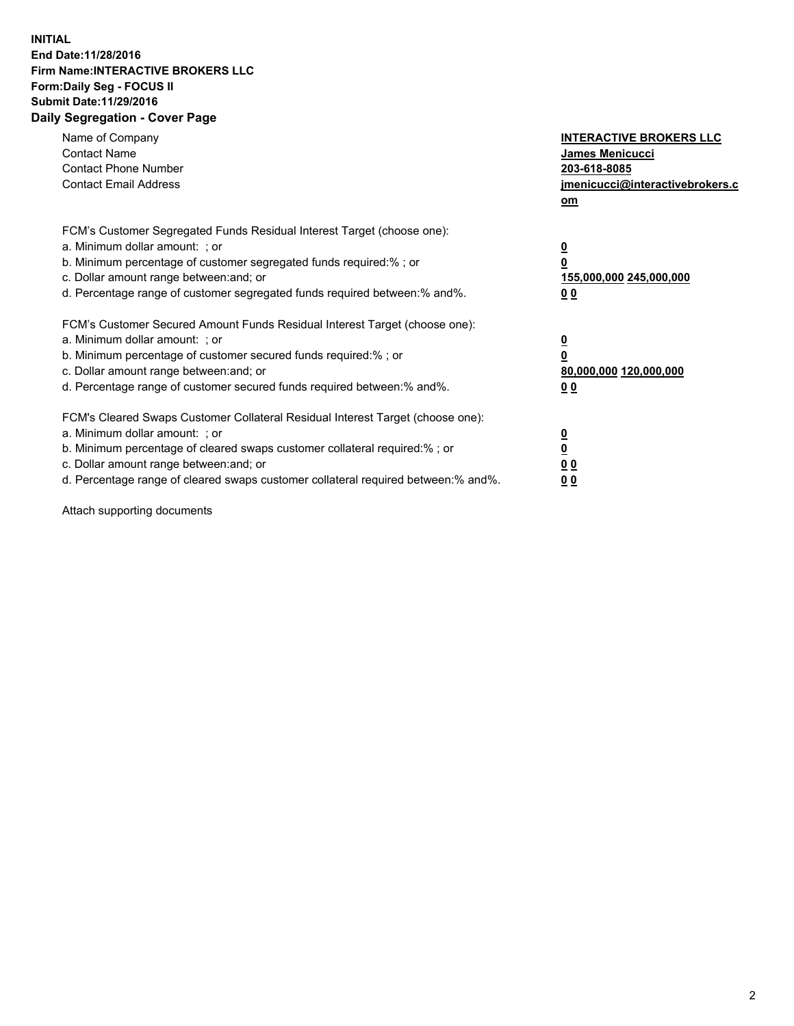## **INITIAL End Date:11/28/2016 Firm Name:INTERACTIVE BROKERS LLC Form:Daily Seg - FOCUS II Submit Date:11/29/2016 Daily Segregation - Cover Page**

| Name of Company<br><b>Contact Name</b><br><b>Contact Phone Number</b><br><b>Contact Email Address</b>                                                                                                                                                                                                                          | <b>INTERACTIVE BROKERS LLC</b><br>James Menicucci<br>203-618-8085<br><u>jmenicucci@interactivebrokers.c</u><br>om |
|--------------------------------------------------------------------------------------------------------------------------------------------------------------------------------------------------------------------------------------------------------------------------------------------------------------------------------|-------------------------------------------------------------------------------------------------------------------|
| FCM's Customer Segregated Funds Residual Interest Target (choose one):<br>a. Minimum dollar amount: ; or<br>b. Minimum percentage of customer segregated funds required:%; or<br>c. Dollar amount range between: and; or<br>d. Percentage range of customer segregated funds required between:% and%.                          | $\overline{\mathbf{0}}$<br>0<br>155,000,000 245,000,000<br>0 <sub>0</sub>                                         |
| FCM's Customer Secured Amount Funds Residual Interest Target (choose one):<br>a. Minimum dollar amount: ; or<br>b. Minimum percentage of customer secured funds required:%; or<br>c. Dollar amount range between: and; or<br>d. Percentage range of customer secured funds required between:% and%.                            | $\overline{\mathbf{0}}$<br>$\overline{\mathbf{0}}$<br>80,000,000 120,000,000<br>00                                |
| FCM's Cleared Swaps Customer Collateral Residual Interest Target (choose one):<br>a. Minimum dollar amount: ; or<br>b. Minimum percentage of cleared swaps customer collateral required:% ; or<br>c. Dollar amount range between: and; or<br>d. Percentage range of cleared swaps customer collateral required between:% and%. | $\overline{\mathbf{0}}$<br>$\overline{\mathbf{0}}$<br>0 <sub>0</sub><br><u>00</u>                                 |

Attach supporting documents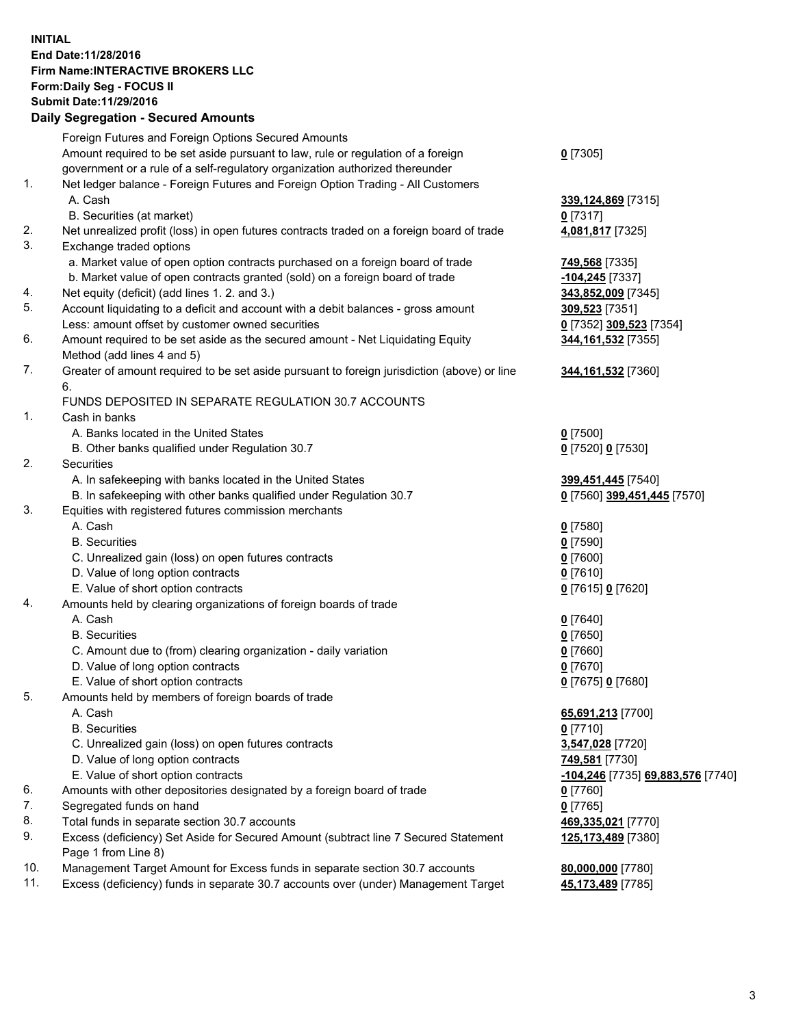## **INITIAL End Date:11/28/2016 Firm Name:INTERACTIVE BROKERS LLC Form:Daily Seg - FOCUS II Submit Date:11/29/2016 Daily Segregation - Secured Amounts**

|                | Daily Jegregation - Jeculed Aniounts                                                        |                                   |
|----------------|---------------------------------------------------------------------------------------------|-----------------------------------|
|                | Foreign Futures and Foreign Options Secured Amounts                                         |                                   |
|                | Amount required to be set aside pursuant to law, rule or regulation of a foreign            | $0$ [7305]                        |
|                | government or a rule of a self-regulatory organization authorized thereunder                |                                   |
| 1.             | Net ledger balance - Foreign Futures and Foreign Option Trading - All Customers             |                                   |
|                | A. Cash                                                                                     | 339,124,869 [7315]                |
|                | B. Securities (at market)                                                                   | $0$ [7317]                        |
| 2.             | Net unrealized profit (loss) in open futures contracts traded on a foreign board of trade   | 4,081,817 [7325]                  |
| 3.             | Exchange traded options                                                                     |                                   |
|                | a. Market value of open option contracts purchased on a foreign board of trade              | <b>749,568</b> [7335]             |
|                | b. Market value of open contracts granted (sold) on a foreign board of trade                | $-104,245$ [7337]                 |
| 4.             | Net equity (deficit) (add lines 1.2. and 3.)                                                | 343,852,009 [7345]                |
| 5.             | Account liquidating to a deficit and account with a debit balances - gross amount           | 309,523 [7351]                    |
|                | Less: amount offset by customer owned securities                                            | 0 [7352] 309,523 [7354]           |
| 6.             | Amount required to be set aside as the secured amount - Net Liquidating Equity              | 344, 161, 532 [7355]              |
|                | Method (add lines 4 and 5)                                                                  |                                   |
| 7.             | Greater of amount required to be set aside pursuant to foreign jurisdiction (above) or line | 344, 161, 532 [7360]              |
|                | 6.                                                                                          |                                   |
|                | FUNDS DEPOSITED IN SEPARATE REGULATION 30.7 ACCOUNTS                                        |                                   |
| $\mathbf{1}$ . | Cash in banks                                                                               |                                   |
|                | A. Banks located in the United States                                                       | $0$ [7500]                        |
|                | B. Other banks qualified under Regulation 30.7                                              | 0 [7520] 0 [7530]                 |
| 2.             | Securities                                                                                  |                                   |
|                | A. In safekeeping with banks located in the United States                                   | 399,451,445 [7540]                |
|                | B. In safekeeping with other banks qualified under Regulation 30.7                          | 0 [7560] 399,451,445 [7570]       |
| 3.             | Equities with registered futures commission merchants                                       |                                   |
|                | A. Cash                                                                                     | $0$ [7580]                        |
|                | <b>B.</b> Securities                                                                        | $0$ [7590]                        |
|                | C. Unrealized gain (loss) on open futures contracts                                         | $0$ [7600]                        |
|                | D. Value of long option contracts                                                           | $0$ [7610]                        |
|                | E. Value of short option contracts                                                          | 0 [7615] 0 [7620]                 |
| 4.             | Amounts held by clearing organizations of foreign boards of trade                           |                                   |
|                | A. Cash                                                                                     | $0$ [7640]                        |
|                | <b>B.</b> Securities                                                                        | $0$ [7650]                        |
|                | C. Amount due to (from) clearing organization - daily variation                             | $0$ [7660]                        |
|                | D. Value of long option contracts                                                           | $0$ [7670]                        |
|                | E. Value of short option contracts                                                          | 0 [7675] 0 [7680]                 |
| 5.             | Amounts held by members of foreign boards of trade                                          |                                   |
|                | A. Cash                                                                                     | 65,691,213 [7700]                 |
|                | <b>B.</b> Securities                                                                        | $0$ [7710]                        |
|                | C. Unrealized gain (loss) on open futures contracts                                         | 3,547,028 [7720]                  |
|                | D. Value of long option contracts                                                           | 749,581 [7730]                    |
|                | E. Value of short option contracts                                                          | -104,246 [7735] 69,883,576 [7740] |
| 6.             | Amounts with other depositories designated by a foreign board of trade                      | $0$ [7760]                        |
| 7.             | Segregated funds on hand                                                                    | $0$ [7765]                        |
| 8.             | Total funds in separate section 30.7 accounts                                               | 469,335,021 [7770]                |
| 9.             | Excess (deficiency) Set Aside for Secured Amount (subtract line 7 Secured Statement         | 125,173,489 [7380]                |
|                | Page 1 from Line 8)                                                                         |                                   |
| 10.            | Management Target Amount for Excess funds in separate section 30.7 accounts                 | 80,000,000 [7780]                 |
| 11.            | Excess (deficiency) funds in separate 30.7 accounts over (under) Management Target          | 45,173,489 [7785]                 |
|                |                                                                                             |                                   |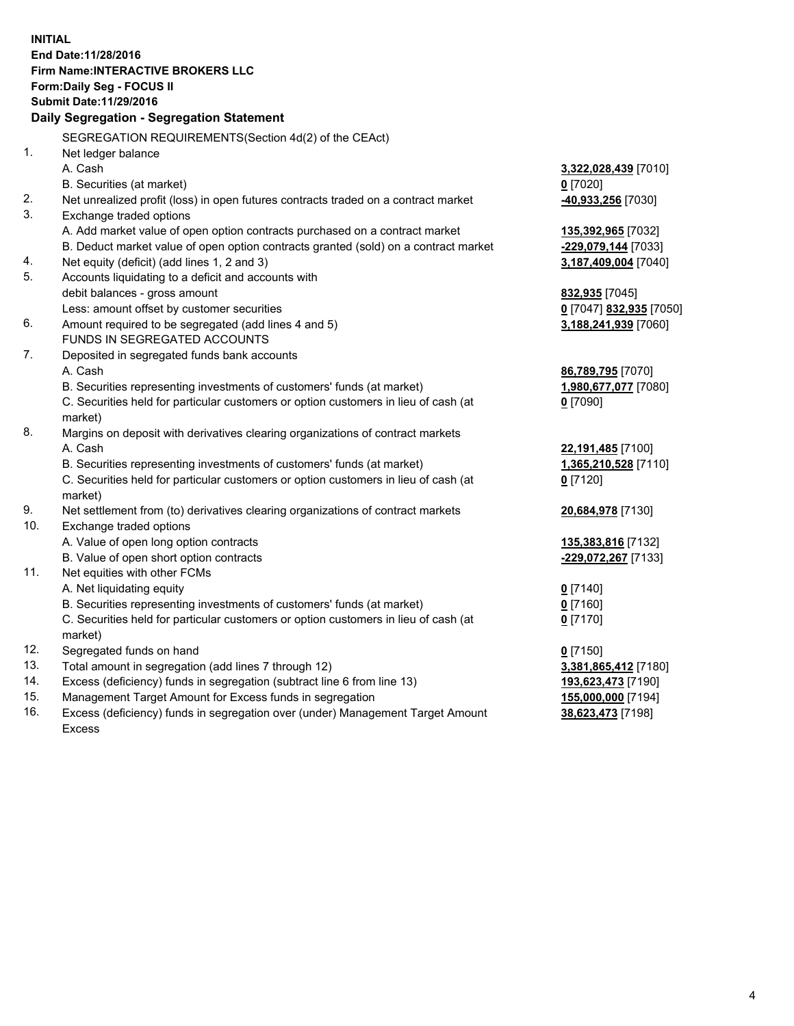**INITIAL End Date:11/28/2016 Firm Name:INTERACTIVE BROKERS LLC Form:Daily Seg - FOCUS II Submit Date:11/29/2016 Daily Segregation - Segregation Statement** SEGREGATION REQUIREMENTS(Section 4d(2) of the CEAct) 1. Net ledger balance A. Cash **3,322,028,439** [7010] B. Securities (at market) **0** [7020] 2. Net unrealized profit (loss) in open futures contracts traded on a contract market **-40,933,256** [7030] 3. Exchange traded options A. Add market value of open option contracts purchased on a contract market **135,392,965** [7032] B. Deduct market value of open option contracts granted (sold) on a contract market **-229,079,144** [7033] 4. Net equity (deficit) (add lines 1, 2 and 3) **3,187,409,004** [7040] 5. Accounts liquidating to a deficit and accounts with debit balances - gross amount **832,935** [7045] Less: amount offset by customer securities **0** [7047] **832,935** [7050] 6. Amount required to be segregated (add lines 4 and 5) **3,188,241,939** [7060] FUNDS IN SEGREGATED ACCOUNTS 7. Deposited in segregated funds bank accounts A. Cash **86,789,795** [7070] B. Securities representing investments of customers' funds (at market) **1,980,677,077** [7080] C. Securities held for particular customers or option customers in lieu of cash (at market) **0** [7090] 8. Margins on deposit with derivatives clearing organizations of contract markets A. Cash **22,191,485** [7100] B. Securities representing investments of customers' funds (at market) **1,365,210,528** [7110] C. Securities held for particular customers or option customers in lieu of cash (at market) **0** [7120] 9. Net settlement from (to) derivatives clearing organizations of contract markets **20,684,978** [7130] 10. Exchange traded options A. Value of open long option contracts **135,383,816** [7132] B. Value of open short option contracts **-229,072,267** [7133] 11. Net equities with other FCMs A. Net liquidating equity **0** [7140] B. Securities representing investments of customers' funds (at market) **0** [7160] C. Securities held for particular customers or option customers in lieu of cash (at market) **0** [7170] 12. Segregated funds on hand **0** [7150] 13. Total amount in segregation (add lines 7 through 12) **3,381,865,412** [7180] 14. Excess (deficiency) funds in segregation (subtract line 6 from line 13) **193,623,473** [7190] 15. Management Target Amount for Excess funds in segregation **155,000,000** [7194]

16. Excess (deficiency) funds in segregation over (under) Management Target Amount Excess

**38,623,473** [7198]